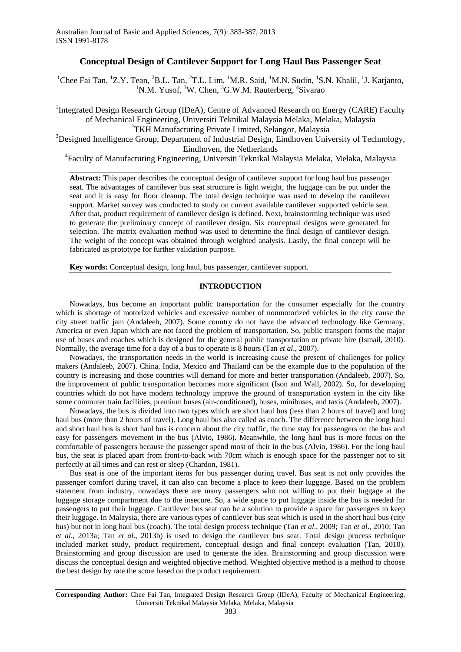# **Conceptual Design of Cantilever Support for Long Haul Bus Passenger Seat**

<sup>1</sup>Chee Fai Tan, <sup>1</sup>Z.Y. Tean, <sup>2</sup>B.L. Tan, <sup>2</sup>T.L. Lim, <sup>1</sup>M.R. Said, <sup>1</sup>M.N. Sudin, <sup>1</sup>S.N. Khalil, <sup>1</sup>J. Karjanto, <sup>1</sup>N.M. Yusof, <sup>3</sup>W. Chen, <sup>3</sup>G.W.M. Rauterberg, <sup>4</sup>Sivarao

<sup>1</sup>Integrated Design Research Group (IDeA), Centre of Advanced Research on Energy (CARE) Faculty of Mechanical Engineering, Universiti Teknikal Malaysia Melaka, Melaka, Malaysia <sup>2</sup>TKH Manufacturing Private Limited, Selangor, Malaysia

<sup>3</sup>Designed Intelligence Group, Department of Industrial Design, Eindhoven University of Technology, Eindhoven, the Netherlands

4 Faculty of Manufacturing Engineering, Universiti Teknikal Malaysia Melaka, Melaka, Malaysia

**Abstract:** This paper describes the conceptual design of cantilever support for long haul bus passenger seat. The advantages of cantilever bus seat structure is light weight, the luggage can be put under the seat and it is easy for floor cleanup. The total design technique was used to develop the cantilever support. Market survey was conducted to study on current available cantilever supported vehicle seat. After that, product requirement of cantilever design is defined. Next, brainstorming technique was used to generate the preliminary concept of cantilever design. Six conceptual designs were generated for selection. The matrix evaluation method was used to determine the final design of cantilever design. The weight of the concept was obtained through weighted analysis. Lastly, the final concept will be fabricated as prototype for further validation purpose.

**Key words:** Conceptual design, long haul, bus passenger, cantilever support.

## **INTRODUCTION**

Nowadays, bus become an important public transportation for the consumer especially for the country which is shortage of motorized vehicles and excessive number of nonmotorized vehicles in the city cause the city street traffic jam (Andaleeb, 2007). Some country do not have the advanced technology like Germany, America or even Japan which are not faced the problem of transportation. So, public transport forms the major use of buses and coaches which is designed for the general public transportation or private hire (Ismail, 2010). Normally, the average time for a day of a bus to operate is 8 hours (Tan *et al*., 2007).

Nowadays, the transportation needs in the world is increasing cause the present of challenges for policy makers (Andaleeb, 2007). China, India, Mexico and Thailand can be the example due to the population of the country is increasing and those countries will demand for more and better transportation (Andaleeb, 2007). So, the improvement of public transportation becomes more significant (Ison and Wall, 2002). So, for developing countries which do not have modern technology improve the ground of transportation system in the city like some commuter train facilities, premium buses (air-conditioned), buses, minibuses, and taxis (Andaleeb, 2007).

Nowadays, the bus is divided into two types which are short haul bus (less than 2 hours of travel) and long haul bus (more than 2 hours of travel). Long haul bus also called as coach. The difference between the long haul and short haul bus is short haul bus is concern about the city traffic, the time stay for passengers on the bus and easy for passengers movement in the bus (Alvio, 1986). Meanwhile, the long haul bus is more focus on the comfortable of passengers because the passenger spend most of their in the bus (Alvio, 1986). For the long haul bus, the seat is placed apart from front-to-back with 70cm which is enough space for the passenger not to sit perfectly at all times and can rest or sleep (Chardon, 1981).

Bus seat is one of the important items for bus passenger during travel. Bus seat is not only provides the passenger comfort during travel, it can also can become a place to keep their luggage. Based on the problem statement from industry, nowadays there are many passengers who not willing to put their luggage at the luggage storage compartment due to the insecure. So, a wide space to put luggage inside the bus is needed for passengers to put their luggage. Cantilever bus seat can be a solution to provide a space for passengers to keep their luggage. In Malaysia, there are various types of cantilever bus seat which is used in the short haul bus (city bus) but not in long haul bus (coach). The total design process technique (Tan *et al*., 2009; Tan *et al*., 2010; Tan *et al*., 2013a; Tan *et al*., 2013b) is used to design the cantilever bus seat. Total design process technique included market study, product requirement, conceptual design and final concept evaluation (Tan, 2010). Brainstorming and group discussion are used to generate the idea. Brainstorming and group discussion were discuss the conceptual design and weighted objective method. Weighted objective method is a method to choose the best design by rate the score based on the product requirement.

**Corresponding Author:** Chee Fai Tan, Integrated Design Research Group (IDeA), Faculty of Mechanical Engineering, Universiti Teknikal Malaysia Melaka, Melaka, Malaysia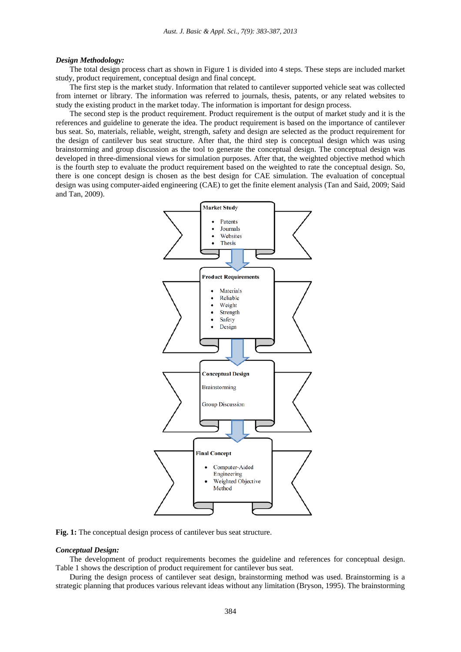## *Design Methodology:*

The total design process chart as shown in Figure 1 is divided into 4 steps. These steps are included market study, product requirement, conceptual design and final concept.

The first step is the market study. Information that related to cantilever supported vehicle seat was collected from internet or library. The information was referred to journals, thesis, patents, or any related websites to study the existing product in the market today. The information is important for design process.

The second step is the product requirement. Product requirement is the output of market study and it is the references and guideline to generate the idea. The product requirement is based on the importance of cantilever bus seat. So, materials, reliable, weight, strength, safety and design are selected as the product requirement for the design of cantilever bus seat structure. After that, the third step is conceptual design which was using brainstorming and group discussion as the tool to generate the conceptual design. The conceptual design was developed in three-dimensional views for simulation purposes. After that, the weighted objective method which is the fourth step to evaluate the product requirement based on the weighted to rate the conceptual design. So, there is one concept design is chosen as the best design for CAE simulation. The evaluation of conceptual design was using computer-aided engineering (CAE) to get the finite element analysis (Tan and Said, 2009; Said and Tan, 2009).



**Fig. 1:** The conceptual design process of cantilever bus seat structure.

## *Conceptual Design:*

The development of product requirements becomes the guideline and references for conceptual design. Table 1 shows the description of product requirement for cantilever bus seat.

During the design process of cantilever seat design, brainstorming method was used. Brainstorming is a strategic planning that produces various relevant ideas without any limitation (Bryson, 1995). The brainstorming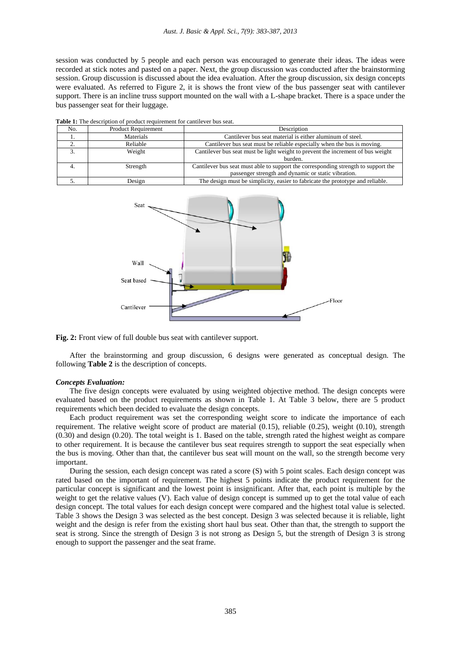session was conducted by 5 people and each person was encouraged to generate their ideas. The ideas were recorded at stick notes and pasted on a paper. Next, the group discussion was conducted after the brainstorming session. Group discussion is discussed about the idea evaluation. After the group discussion, six design concepts were evaluated. As referred to Figure 2, it is shows the front view of the bus passenger seat with cantilever support. There is an incline truss support mounted on the wall with a L-shape bracket. There is a space under the bus passenger seat for their luggage.

| No. | <b>Product Requirement</b> | Description                                                                        |
|-----|----------------------------|------------------------------------------------------------------------------------|
|     | Materials                  | Cantilever bus seat material is either aluminum of steel.                          |
|     | Reliable                   | Cantilever bus seat must be reliable especially when the bus is moving.            |
|     | Weight                     | Cantilever bus seat must be light weight to prevent the increment of bus weight    |
|     |                            | burden.                                                                            |
|     | Strength                   | Cantilever bus seat must able to support the corresponding strength to support the |
|     |                            | passenger strength and dynamic or static vibration.                                |
|     | Design                     | The design must be simplicity, easier to fabricate the prototype and reliable.     |

**Table 1:** The description of product requirement for cantilever bus seat.





After the brainstorming and group discussion, 6 designs were generated as conceptual design. The following **Table 2** is the description of concepts.

#### *Concepts Evaluation:*

The five design concepts were evaluated by using weighted objective method. The design concepts were evaluated based on the product requirements as shown in Table 1. At Table 3 below, there are 5 product requirements which been decided to evaluate the design concepts.

Each product requirement was set the corresponding weight score to indicate the importance of each requirement. The relative weight score of product are material (0.15), reliable (0.25), weight (0.10), strength (0.30) and design (0.20). The total weight is 1. Based on the table, strength rated the highest weight as compare to other requirement. It is because the cantilever bus seat requires strength to support the seat especially when the bus is moving. Other than that, the cantilever bus seat will mount on the wall, so the strength become very important.

During the session, each design concept was rated a score (S) with 5 point scales. Each design concept was rated based on the important of requirement. The highest 5 points indicate the product requirement for the particular concept is significant and the lowest point is insignificant. After that, each point is multiple by the weight to get the relative values (V). Each value of design concept is summed up to get the total value of each design concept. The total values for each design concept were compared and the highest total value is selected. Table 3 shows the Design 3 was selected as the best concept. Design 3 was selected because it is reliable, light weight and the design is refer from the existing short haul bus seat. Other than that, the strength to support the seat is strong. Since the strength of Design 3 is not strong as Design 5, but the strength of Design 3 is strong enough to support the passenger and the seat frame.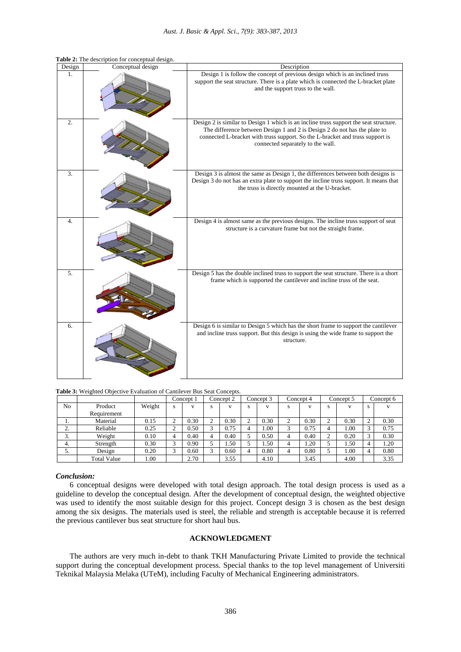| Design           | Conceptual design | Description                                                                                                                                                                                                                                                                              |
|------------------|-------------------|------------------------------------------------------------------------------------------------------------------------------------------------------------------------------------------------------------------------------------------------------------------------------------------|
| 1.               |                   | Design 1 is follow the concept of previous design which is an inclined truss<br>support the seat structure. There is a plate which is connected the L-bracket plate<br>and the support truss to the wall.                                                                                |
| $\overline{2}$ . |                   | Design 2 is similar to Design 1 which is an incline truss support the seat structure.<br>The difference between Design 1 and 2 is Design 2 do not has the plate to<br>connected L-bracket with truss support. So the L-bracket and truss support is<br>connected separately to the wall. |
| $\overline{3}$ . |                   | Design 3 is almost the same as Design 1, the differences between both designs is<br>Design 3 do not has an extra plate to support the incline truss support. It means that<br>the truss is directly mounted at the U-bracket.                                                            |
| 4.               |                   | Design 4 is almost same as the previous designs. The incline truss support of seat<br>structure is a curvature frame but not the straight frame.                                                                                                                                         |
| 5.               |                   | Design 5 has the double inclined truss to support the seat structure. There is a short<br>frame which is supported the cantilever and incline truss of the seat.                                                                                                                         |
| 6.               |                   | Design 6 is similar to Design 5 which has the short frame to support the cantilever<br>and incline truss support. But this design is using the wide frame to support the<br>structure.                                                                                                   |

**Table 2:** The description for conceptual design.

**Table 3:** Weighted Objective Evaluation of Cantilever Bus Seat Concepts.

|               |                    |        |   | Concept 1<br>Concept 2 |   |              | Concept 3 |              | Concept 4               |      | Concept 5 |      | Concept 6     |      |
|---------------|--------------------|--------|---|------------------------|---|--------------|-----------|--------------|-------------------------|------|-----------|------|---------------|------|
| No            | Product            | Weight | s | $\mathbf{V}$           | s | $\mathbf{V}$ | s         | $\mathbf{V}$ | s                       |      | s         |      | s             |      |
|               | Requirement        |        |   |                        |   |              |           |              |                         |      |           |      |               |      |
|               | Material           | 0.15   |   | 0.30                   |   | 0.30         | ∠         | 0.30         | ◠<br>∼                  | 0.30 | ◠         | 0.30 | ◠             | 0.30 |
| ◠<br><u>.</u> | Reliable           | 0.25   |   | 0.50                   |   | 0.75         |           | 1.00         | $\overline{\mathbf{a}}$ | 0.75 |           | 1.00 | $\rightarrow$ | 0.75 |
| $\sim$<br>J.  | Weight             | 0.10   |   | 0.40                   |   | 0.40         |           | 0.50         | 4                       | 0.40 | ◠         | 0.20 | ⌒             | 0.30 |
| 4.            | Strength           | 0.30   | ⌒ | 0.90                   |   | 1.50         |           | 1.50         | 4                       | 1.20 |           | 1.50 | 4             | 1.20 |
| J.            | Design             | 0.20   | ⌒ | 0.60                   |   | 0.60         | 4         | 0.80         | 4                       | 0.80 |           | 1.00 | 4             | 0.80 |
|               | <b>Total Value</b> | 00.1   |   | 2.70                   |   | 3.55         |           | 4.10         |                         | 3.45 |           | 4.00 |               | 3.35 |

## *Conclusion:*

6 conceptual designs were developed with total design approach. The total design process is used as a guideline to develop the conceptual design. After the development of conceptual design, the weighted objective was used to identify the most suitable design for this project. Concept design 3 is chosen as the best design among the six designs. The materials used is steel, the reliable and strength is acceptable because it is referred the previous cantilever bus seat structure for short haul bus.

## **ACKNOWLEDGMENT**

The authors are very much in-debt to thank TKH Manufacturing Private Limited to provide the technical support during the conceptual development process. Special thanks to the top level management of Universiti Teknikal Malaysia Melaka (UTeM), including Faculty of Mechanical Engineering administrators.